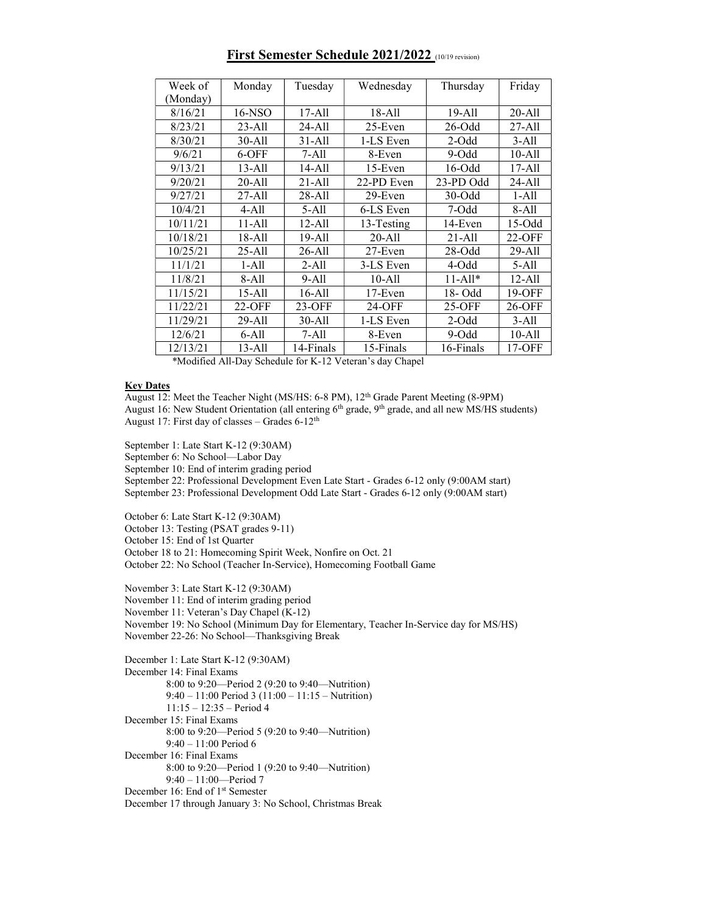| Week of                             | Monday                      | Tuesday                          | Wednesday  | Thursday    | Friday     |
|-------------------------------------|-----------------------------|----------------------------------|------------|-------------|------------|
| (Monday)                            |                             |                                  |            |             |            |
| 8/16/21                             | 16-NSO                      | $17 - All$                       | $18 - All$ | 19-All      | 20-All     |
| 8/23/21                             | $23 - All$                  | 24-All                           | $25$ -Even | $26$ -Odd   | 27-All     |
| 8/30/21                             | 30-All                      | $31 - All$                       | 1-LS Even  | $2$ -Odd    | $3-All$    |
| 9/6/21                              | $6-OFF$                     | $7-A11$                          | 8-Even     | $9-Odd$     | $10-A11$   |
| 9/13/21                             | $13 - All$                  | 14-All                           | $15$ -Even | $16$ -Odd   | $17 - All$ |
| 9/20/21                             | $20 - All$                  | $21 - All$                       | 22-PD Even | 23-PD Odd   | 24-All     |
| 9/27/21                             | $27 - All$                  | 28-All                           | 29-Even    | $30$ -Odd   | $1-All$    |
| 10/4/21                             | $4-All$                     | $5-All$                          | 6-LS Even  | 7-Odd       | $8-A11$    |
| 10/11/21                            | 11-All                      | $12 - All$                       | 13-Testing | 14-Even     | $15-Odd$   |
| 10/18/21                            | 18-All                      | 19-All                           | 20-All     | 21-All      | 22-OFF     |
| 10/25/21                            | $25 - All$                  | $26 - All$                       | $27$ -Even | $28 - Odd$  | 29-All     |
| 11/1/21                             | $1-A11$                     | $2-All$                          | 3-LS Even  | $4-Odd$     | $5-All$    |
| 11/8/21                             | 8-All                       | $9-All$                          | $10-A11$   | $11 - All*$ | 12-All     |
| 11/15/21                            | 15-All                      | $16-All$                         | $17$ -Even | 18-Odd      | 19-OFF     |
| 11/22/21                            | 22-OFF                      | $23-OFF$                         | 24-OFF     | 25-OFF      | 26-OFF     |
| 11/29/21                            | 29-All                      | 30-All                           | 1-LS Even  | $2$ -Odd    | $3-All$    |
| 12/6/21                             | $6-$ All                    | $7-A11$                          | 8-Even     | 9-Odd       | 10-All     |
| 12/13/21<br>$43.6 + 11.0 + 11.11$ m | 13-All<br>$\sim$ 1 1 $\sim$ | 14-Finals<br>$T$ $T$ $T$ $T$ $T$ | 15-Finals  | 16-Finals   | 17-OFF     |

## First Semester Schedule 2021/2022 (10/19 revision)

\*Modified All-Day Schedule for K-12 Veteran's day Chapel

## **Key Dates**

August 12: Meet the Teacher Night (MS/HS: 6-8 PM), 12th Grade Parent Meeting (8-9PM) August 16: New Student Orientation (all entering 6<sup>th</sup> grade, 9<sup>th</sup> grade, and all new MS/HS students) August 17: First day of classes - Grades 6-12<sup>th</sup>

September 1: Late Start K-12 (9:30AM)

September 6: No School—Labor Day

September 10: End of interim grading period

September 22: Professional Development Even Late Start - Grades 6-12 only (9:00AM start) September 23: Professional Development Odd Late Start - Grades 6-12 only (9:00AM start)

October 6: Late Start K-12 (9:30AM)

October 13: Testing (PSAT grades 9-11)

October 15: End of 1st Quarter

October 18 to 21: Homecoming Spirit Week, Nonfire on Oct. 21

October 22: No School (Teacher In-Service), Homecoming Football Game

November 3: Late Start K-12 (9:30AM)

November 11: End of interim grading period

November 11: Veteran's Day Chapel (K-12)

November 19: No School (Minimum Day for Elementary, Teacher In-Service day for MS/HS) November 22-26: No School—Thanksgiving Break

December 1: Late Start K-12 (9:30AM) December 14: Final Exams 8:00 to 9:20—Period 2 (9:20 to 9:40—Nutrition) 9:40 – 11:00 Period 3 (11:00 – 11:15 – Nutrition) 11:15 – 12:35 – Period 4 December 15: Final Exams 8:00 to 9:20—Period 5 (9:20 to 9:40—Nutrition) 9:40 – 11:00 Period 6 December 16: Final Exams 8:00 to 9:20—Period 1 (9:20 to 9:40—Nutrition) 9:40 – 11:00—Period 7 December 16: End of 1<sup>st</sup> Semester December 17 through January 3: No School, Christmas Break